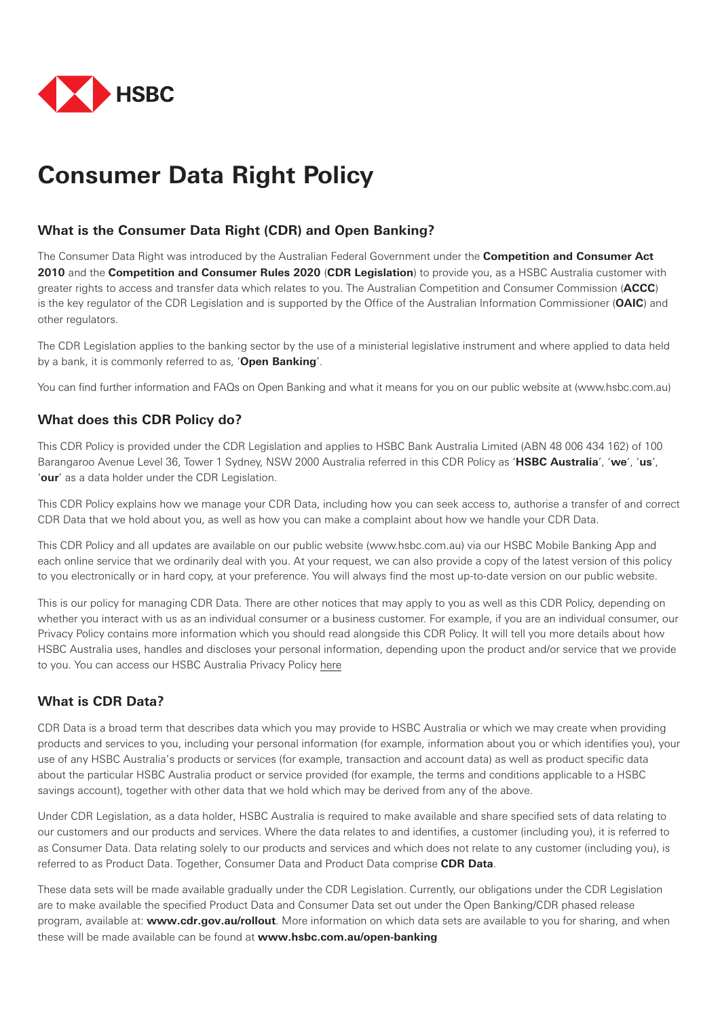

# **Consumer Data Right Policy**

# **What is the Consumer Data Right (CDR) and Open Banking?**

The Consumer Data Right was introduced by the Australian Federal Government under the **Competition and Consumer Act 2010** and the **Competition and Consumer Rules 2020** (**CDR Legislation**) to provide you, as a HSBC Australia customer with greater rights to access and transfer data which relates to you. The Australian Competition and Consumer Commission (**ACCC**) is the key regulator of the CDR Legislation and is supported by the Office of the Australian Information Commissioner (**OAIC**) and other regulators.

The CDR Legislation applies to the banking sector by the use of a ministerial legislative instrument and where applied to data held by a bank, it is commonly referred to as, '**Open Banking**'.

You can find further information and FAQs on Open Banking and what it means for you on our public website at (www.hsbc.com.au)

# **What does this CDR Policy do?**

This CDR Policy is provided under the CDR Legislation and applies to HSBC Bank Australia Limited (ABN 48 006 434 162) of 100 Barangaroo Avenue Level 36, Tower 1 Sydney, NSW 2000 Australia referred in this CDR Policy as '**HSBC Australia**', '**we**', '**us**', '**our**' as a data holder under the CDR Legislation.

This CDR Policy explains how we manage your CDR Data, including how you can seek access to, authorise a transfer of and correct CDR Data that we hold about you, as well as how you can make a complaint about how we handle your CDR Data.

This CDR Policy and all updates are available on our public website (www.hsbc.com.au) via our HSBC Mobile Banking App and each online service that we ordinarily deal with you. At your request, we can also provide a copy of the latest version of this policy to you electronically or in hard copy, at your preference. You will always find the most up-to-date version on our public website.

This is our policy for managing CDR Data. There are other notices that may apply to you as well as this CDR Policy, depending on whether you interact with us as an individual consumer or a business customer. For example, if you are an individual consumer, our Privacy Policy contains more information which you should read alongside this CDR Policy. It will tell you more details about how HSBC Australia uses, handles and discloses your personal information, depending upon the product and/or service that we provide to you. You can access our HSBC Australia Privacy Policy [here](https://www.hsbc.com.au/content/dam/hsbc/au/docs/pdf/privacy-policy.pdf) 

# **What is CDR Data?**

CDR Data is a broad term that describes data which you may provide to HSBC Australia or which we may create when providing products and services to you, including your personal information (for example, information about you or which identifies you), your use of any HSBC Australia's products or services (for example, transaction and account data) as well as product specific data about the particular HSBC Australia product or service provided (for example, the terms and conditions applicable to a HSBC savings account), together with other data that we hold which may be derived from any of the above.

Under CDR Legislation, as a data holder, HSBC Australia is required to make available and share specified sets of data relating to our customers and our products and services. Where the data relates to and identifies, a customer (including you), it is referred to as Consumer Data. Data relating solely to our products and services and which does not relate to any customer (including you), is referred to as Product Data. Together, Consumer Data and Product Data comprise **CDR Data**.

These data sets will be made available gradually under the CDR Legislation. Currently, our obligations under the CDR Legislation are to make available the specified Product Data and Consumer Data set out under the Open Banking/CDR phased release program, available at: **www.cdr.gov.au/rollout**. More information on which data sets are available to you for sharing, and when these will be made available can be found at **<www.hsbc.com.au/open-banking>**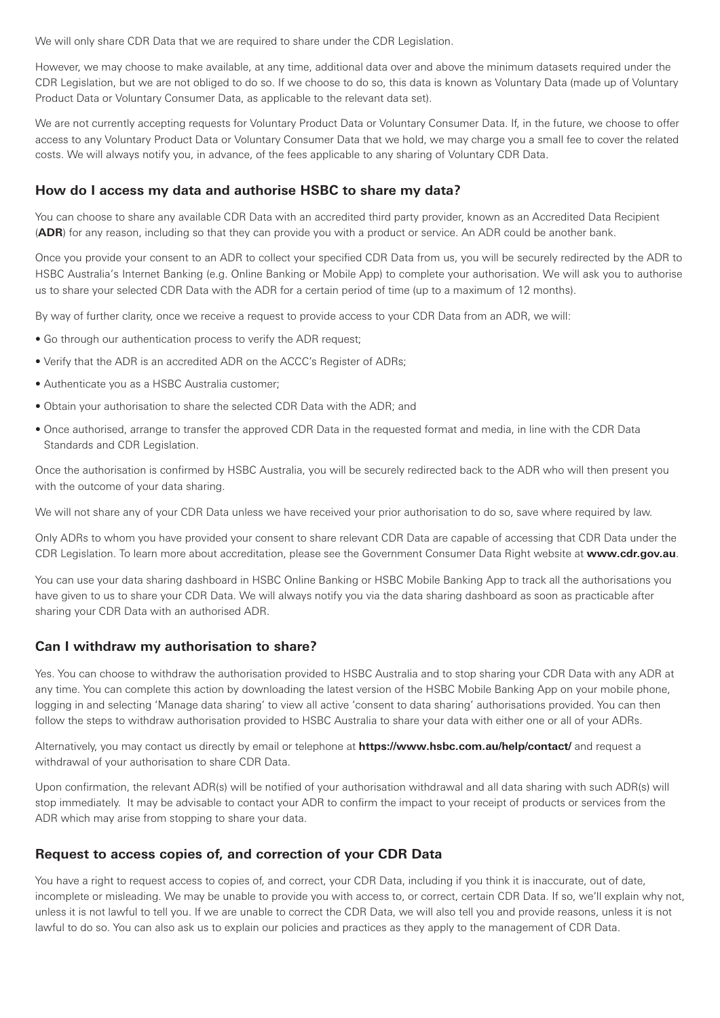We will only share CDR Data that we are required to share under the CDR Legislation.

However, we may choose to make available, at any time, additional data over and above the minimum datasets required under the CDR Legislation, but we are not obliged to do so. If we choose to do so, this data is known as Voluntary Data (made up of Voluntary Product Data or Voluntary Consumer Data, as applicable to the relevant data set).

We are not currently accepting requests for Voluntary Product Data or Voluntary Consumer Data. If, in the future, we choose to offer access to any Voluntary Product Data or Voluntary Consumer Data that we hold, we may charge you a small fee to cover the related costs. We will always notify you, in advance, of the fees applicable to any sharing of Voluntary CDR Data.

# **How do I access my data and authorise HSBC to share my data?**

You can choose to share any available CDR Data with an accredited third party provider, known as an Accredited Data Recipient (**ADR**) for any reason, including so that they can provide you with a product or service. An ADR could be another bank.

Once you provide your consent to an ADR to collect your specified CDR Data from us, you will be securely redirected by the ADR to HSBC Australia's Internet Banking (e.g. Online Banking or Mobile App) to complete your authorisation. We will ask you to authorise us to share your selected CDR Data with the ADR for a certain period of time (up to a maximum of 12 months).

By way of further clarity, once we receive a request to provide access to your CDR Data from an ADR, we will:

- Go through our authentication process to verify the ADR request;
- Verify that the ADR is an accredited ADR on the ACCC's Register of ADRs;
- Authenticate you as a HSBC Australia customer;
- Obtain your authorisation to share the selected CDR Data with the ADR; and
- Once authorised, arrange to transfer the approved CDR Data in the requested format and media, in line with the CDR Data Standards and CDR Legislation.

Once the authorisation is confirmed by HSBC Australia, you will be securely redirected back to the ADR who will then present you with the outcome of your data sharing.

We will not share any of your CDR Data unless we have received your prior authorisation to do so, save where required by law.

Only ADRs to whom you have provided your consent to share relevant CDR Data are capable of accessing that CDR Data under the CDR Legislation. To learn more about accreditation, please see the Government Consumer Data Right website at **www.cdr.gov.au**.

You can use your data sharing dashboard in HSBC Online Banking or HSBC Mobile Banking App to track all the authorisations you have given to us to share your CDR Data. We will always notify you via the data sharing dashboard as soon as practicable after sharing your CDR Data with an authorised ADR.

#### **Can I withdraw my authorisation to share?**

Yes. You can choose to withdraw the authorisation provided to HSBC Australia and to stop sharing your CDR Data with any ADR at any time. You can complete this action by downloading the latest version of the HSBC Mobile Banking App on your mobile phone, logging in and selecting 'Manage data sharing' to view all active 'consent to data sharing' authorisations provided. You can then follow the steps to withdraw authorisation provided to HSBC Australia to share your data with either one or all of your ADRs.

Alternatively, you may contact us directly by email or telephone at **https://www.hsbc.com.au/help/contact/** and request a withdrawal of your authorisation to share CDR Data.

Upon confirmation, the relevant ADR(s) will be notified of your authorisation withdrawal and all data sharing with such ADR(s) will stop immediately. It may be advisable to contact your ADR to confirm the impact to your receipt of products or services from the ADR which may arise from stopping to share your data.

#### **Request to access copies of, and correction of your CDR Data**

You have a right to request access to copies of, and correct, your CDR Data, including if you think it is inaccurate, out of date, incomplete or misleading. We may be unable to provide you with access to, or correct, certain CDR Data. If so, we'll explain why not, unless it is not lawful to tell you. If we are unable to correct the CDR Data, we will also tell you and provide reasons, unless it is not lawful to do so. You can also ask us to explain our policies and practices as they apply to the management of CDR Data.